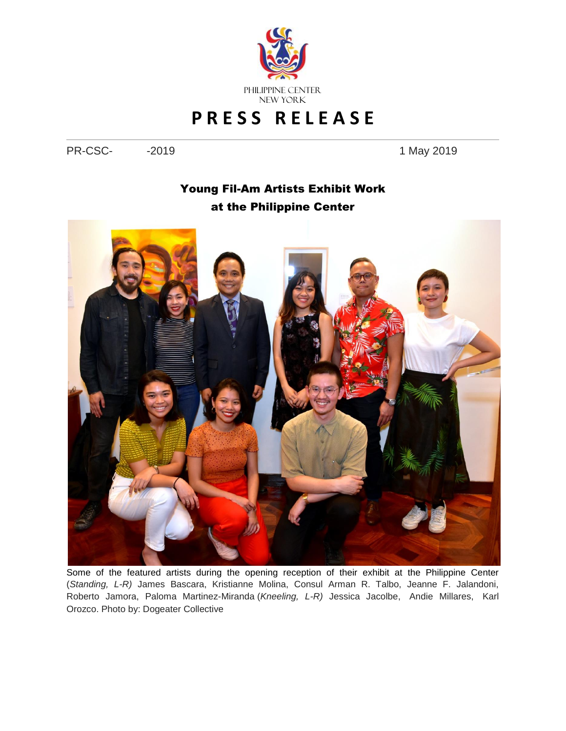

## **P R E S S R E L E A S E**

PR-CSC- -2019 - 2019

## Young Fil-Am Artists Exhibit Work at the Philippine Center



Some of the featured artists during the opening reception of their exhibit at the Philippine Center (*Standing, L-R)* James Bascara, Kristianne Molina, Consul Arman R. Talbo, Jeanne F. Jalandoni, Roberto Jamora, Paloma Martinez-Miranda (*Kneeling, L-R)* Jessica Jacolbe, Andie Millares, Karl Orozco. Photo by: Dogeater Collective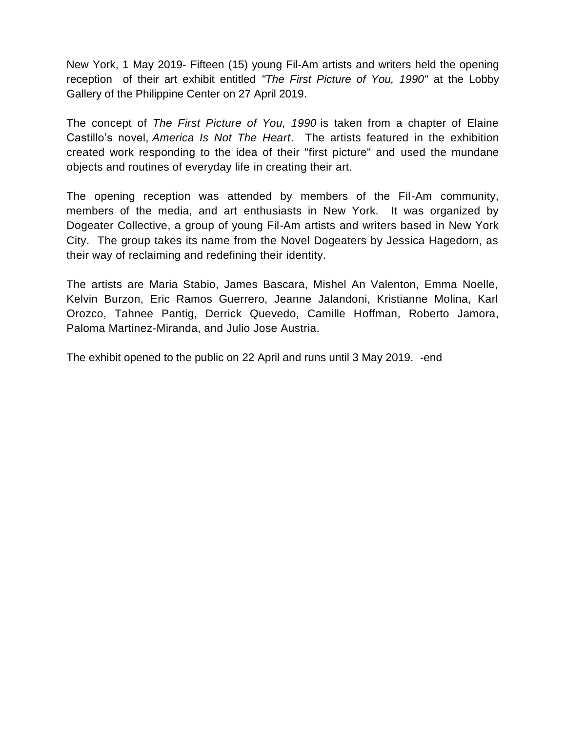New York, 1 May 2019- Fifteen (15) young Fil-Am artists and writers held the opening reception of their art exhibit entitled *"The First Picture of You, 1990"* at the Lobby Gallery of the Philippine Center on 27 April 2019.

The concept of *The First Picture of You, 1990* is taken from a chapter of Elaine Castillo's novel, *America Is Not The Heart*. The artists featured in the exhibition created work responding to the idea of their "first picture" and used the mundane objects and routines of everyday life in creating their art.

The opening reception was attended by members of the Fil-Am community, members of the media, and art enthusiasts in New York. It was organized by Dogeater Collective, a group of young Fil-Am artists and writers based in New York City. The group takes its name from the Novel Dogeaters by Jessica Hagedorn, as their way of reclaiming and redefining their identity.

The artists are Maria Stabio, James Bascara, Mishel An Valenton, Emma Noelle, Kelvin Burzon, Eric Ramos Guerrero, Jeanne Jalandoni, Kristianne Molina, Karl Orozco, Tahnee Pantig, Derrick Quevedo, Camille Hoffman, Roberto Jamora, Paloma Martinez-Miranda, and Julio Jose Austria.

The exhibit opened to the public on 22 April and runs until 3 May 2019. -end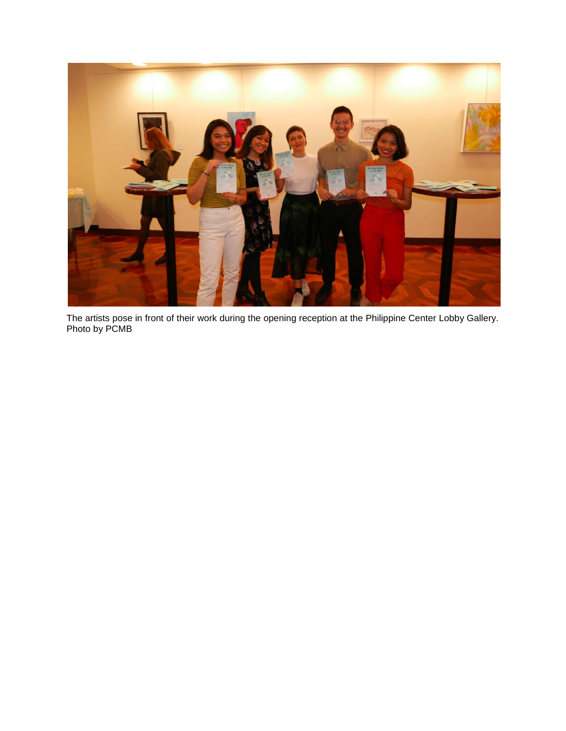

The artists pose in front of their work during the opening reception at the Philippine Center Lobby Gallery. Photo by PCMB